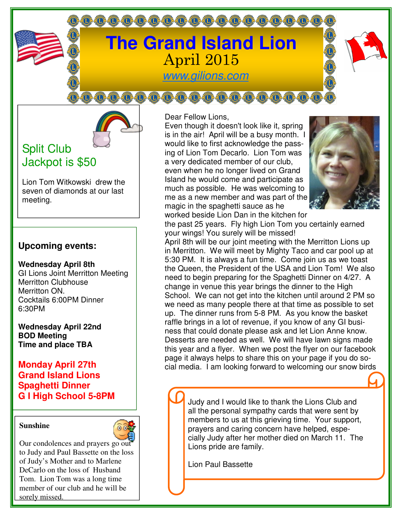# **The Grand Island Lion** April 2015

000000000000000000000000

www.gilions.com

 $0,0,0,0,0,0,0,0,0,0,0,0,0,0,0,0,0,0$ 

## Split Club Jackpot is \$50

Lion Tom Witkowski drew the seven of diamonds at our last meeting.

### **Upcoming events:**

**Wednesday April 8th** GI Lions Joint Merritton Meeting Merritton Clubhouse Merritton ON. Cocktails 6:00PM Dinner 6:30PM

**Wednesday April 22nd BOD Meeting Time and place TBA** 

#### **Monday April 27th Grand Island Lions Spaghetti Dinner G I High School 5-8PM**

#### **Sunshine**



Our condolences and prayers go out to Judy and Paul Bassette on the loss of Judy's Mother and to Marlene DeCarlo on the loss of Husband Tom. Lion Tom was a long time member of our club and he will be sorely missed.

Dear Fellow Lions,

Even though it doesn't look like it, spring is in the air! April will be a busy month. I would like to first acknowledge the passing of Lion Tom Decarlo. Lion Tom was a very dedicated member of our club, even when he no longer lived on Grand Island he would come and participate as much as possible. He was welcoming to me as a new member and was part of the magic in the spaghetti sauce as he worked beside Lion Dan in the kitchen for



the past 25 years. Fly high Lion Tom you certainly earned your wings! You surely will be missed!

April 8th will be our joint meeting with the Merritton Lions up in Merritton. We will meet by Mighty Taco and car pool up at 5:30 PM. It is always a fun time. Come join us as we toast the Queen, the President of the USA and Lion Tom! We also need to begin preparing for the Spaghetti Dinner on 4/27. A change in venue this year brings the dinner to the High School. We can not get into the kitchen until around 2 PM so we need as many people there at that time as possible to set up. The dinner runs from 5-8 PM. As you know the basket raffle brings in a lot of revenue, if you know of any GI business that could donate please ask and let Lion Anne know. Desserts are needed as well. We will have lawn signs made this year and a flyer. When we post the flyer on our facebook page it always helps to share this on your page if you do social media. I am looking forward to welcoming our snow birds

> Judy and I would like to thank the Lions Club and all the personal sympathy cards that were sent by members to us at this grieving time. Your support, prayers and caring concern have helped, especially Judy after her mother died on March 11. The Lions pride are family.

Lion Paul Bassette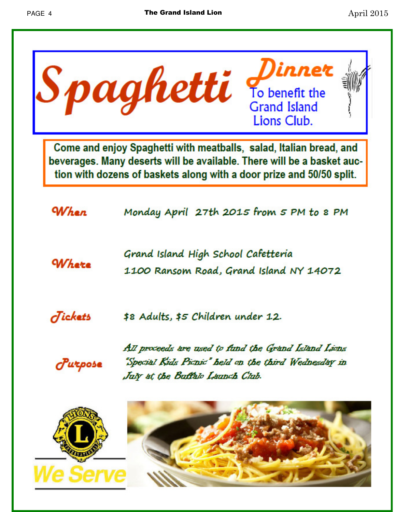